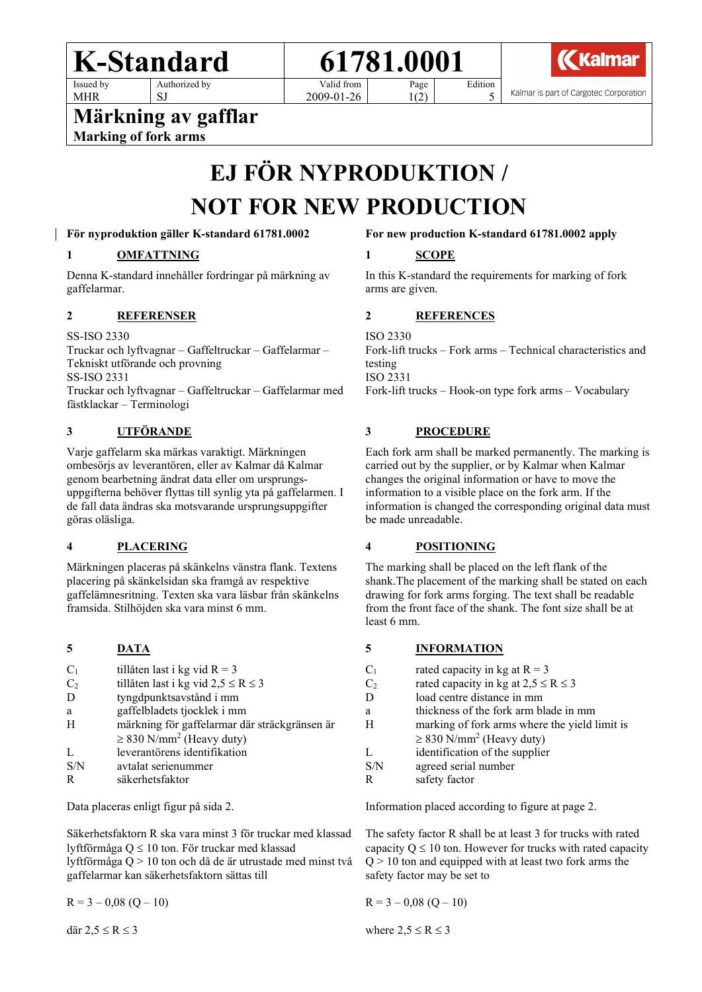

Page

Valid from 2009-01-26

Edition

Kalmar

Kalmar is part of Cargotec Corporation

**Märkning av gafflar Marking of fork arms**

SJ

# **EJ FÖR NYPRODUKTION / NOT FOR NEW PRODUCTION**

**För nyproduktion gäller K-standard 61781.0002**

# **1 OMFATTNING**

Denna K-standard innehåller fordringar på märkning av gaffelarmar.

# **2 REFERENSER**

SS-ISO 2330

MHR

Truckar och lyftvagnar – Gaffeltruckar – Gaffelarmar – Tekniskt utförande och provning SS-ISO 2331 Truckar och lyftvagnar – Gaffeltruckar – Gaffelarmar med fästklackar – Terminologi

# **3 UTFÖRANDE**

Varje gaffelarm ska märkas varaktigt. Märkningen ombesörjs av leverantören, eller av Kalmar då Kalmar genom bearbetning ändrat data eller om ursprungsuppgifterna behöver flyttas till synlig yta på gaffelarmen. I de fall data ändras ska motsvarande ursprungsuppgifter göras oläsliga.

# **4 PLACERING**

Märkningen placeras på skänkelns vänstra flank. Textens placering på skänkelsidan ska framgå av respektive gaffelämnesritning. Texten ska vara läsbar från skänkelns framsida. Stilhöjden ska vara minst 6 mm.

#### **5 DATA**

| $C_1$          | tillåten last i kg vid $R = 3$                |
|----------------|-----------------------------------------------|
| C <sub>2</sub> | tillåten last i kg vid $2,5 \le R \le 3$      |
| D              | tyngdpunktsavstånd i mm                       |
| a              | gaffelbladets tjocklek i mm                   |
| H              | märkning för gaffelarmar där sträckgränsen är |
|                | $\geq$ 830 N/mm <sup>2</sup> (Heavy duty)     |
| L              | leverantörens identifikation                  |
| S/N            | avtalat serienummer                           |
| R              | säkerhetsfaktor                               |

Data placeras enligt figur på sida 2.

Säkerhetsfaktorn R ska vara minst 3 för truckar med klassad lyftförmåga Q ≤ 10 ton. För truckar med klassad lyftförmåga Q > 10 ton och då de är utrustade med minst två gaffelarmar kan säkerhetsfaktorn sättas till

 $R = 3 - 0.08$  (Q – 10)

där  $2,5 \le R \le 3$ 

#### **For new production K-standard 61781.0002 apply**

5

#### **1 SCOPE**

1(2)

In this K-standard the requirements for marking of fork arms are given.

# **2 REFERENCES**

ISO 2330 Fork-lift trucks – Fork arms – Technical characteristics and testing ISO 2331 Fork-lift trucks – Hook-on type fork arms – Vocabulary

# **3 PROCEDURE**

Each fork arm shall be marked permanently. The marking is carried out by the supplier, or by Kalmar when Kalmar changes the original information or have to move the information to a visible place on the fork arm. If the information is changed the corresponding original data must be made unreadable.

# **4 POSITIONING**

The marking shall be placed on the left flank of the shank.The placement of the marking shall be stated on each drawing for fork arms forging. The text shall be readable from the front face of the shank. The font size shall be at least 6 mm.

# **5 INFORMATION**

| $C_1$          | rated capacity in kg at $R = 3$               |
|----------------|-----------------------------------------------|
| C <sub>2</sub> | rated capacity in kg at $2.5 \le R \le 3$     |
| D              | load centre distance in mm                    |
| a              | thickness of the fork arm blade in mm         |
| H              | marking of fork arms where the yield limit is |
|                | $\geq$ 830 N/mm <sup>2</sup> (Heavy duty)     |
|                | identification of the supplier                |
| S/N            | agreed serial number                          |
| R              | safety factor                                 |
|                |                                               |

Information placed according to figure at page 2.

The safety factor R shall be at least 3 for trucks with rated capacity  $Q \le 10$  ton. However for trucks with rated capacity  $Q > 10$  ton and equipped with at least two fork arms the safety factor may be set to

$$
R = 3 - 0.08 (Q - 10)
$$

where  $2,5 \le R \le 3$